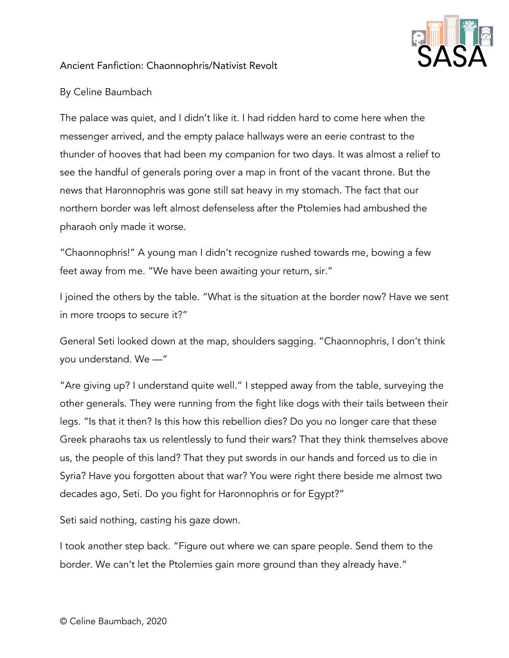

## Ancient Fanfiction: Chaonnophris/Nativist Revolt

## By Celine Baumbach

The palace was quiet, and I didn't like it. I had ridden hard to come here when the messenger arrived, and the empty palace hallways were an eerie contrast to the thunder of hooves that had been my companion for two days. It was almost a relief to see the handful of generals poring over a map in front of the vacant throne. But the news that Haronnophris was gone still sat heavy in my stomach. The fact that our northern border was left almost defenseless after the Ptolemies had ambushed the pharaoh only made it worse.

"Chaonnophris!" A young man I didn't recognize rushed towards me, bowing a few feet away from me. "We have been awaiting your return, sir."

I joined the others by the table. "What is the situation at the border now? Have we sent in more troops to secure it?"

General Seti looked down at the map, shoulders sagging. "Chaonnophris, I don't think you understand. We —"

"Are giving up? I understand quite well." I stepped away from the table, surveying the other generals. They were running from the fight like dogs with their tails between their legs. "Is that it then? Is this how this rebellion dies? Do you no longer care that these Greek pharaohs tax us relentlessly to fund their wars? That they think themselves above us, the people of this land? That they put swords in our hands and forced us to die in Syria? Have you forgotten about that war? You were right there beside me almost two decades ago, Seti. Do you fight for Haronnophris or for Egypt?"

Seti said nothing, casting his gaze down.

I took another step back. "Figure out where we can spare people. Send them to the border. We can't let the Ptolemies gain more ground than they already have."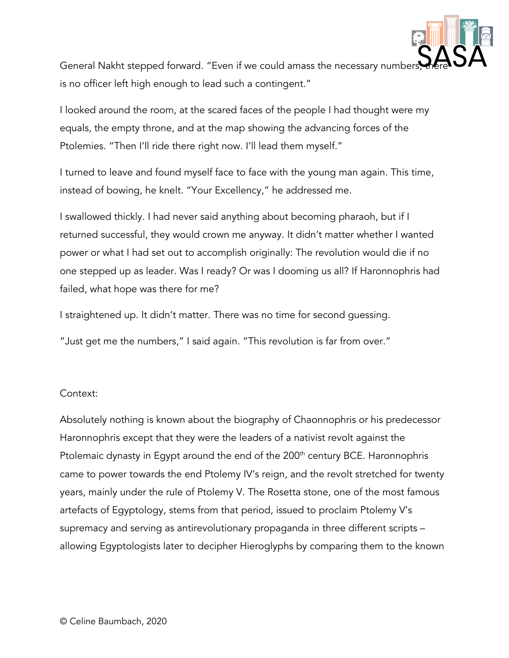

General Nakht stepped forward. "Even if we could amass the necessary number, is no officer left high enough to lead such a contingent."

I looked around the room, at the scared faces of the people I had thought were my equals, the empty throne, and at the map showing the advancing forces of the Ptolemies. "Then I'll ride there right now. I'll lead them myself."

I turned to leave and found myself face to face with the young man again. This time, instead of bowing, he knelt. "Your Excellency," he addressed me.

I swallowed thickly. I had never said anything about becoming pharaoh, but if I returned successful, they would crown me anyway. It didn't matter whether I wanted power or what I had set out to accomplish originally: The revolution would die if no one stepped up as leader. Was I ready? Or was I dooming us all? If Haronnophris had failed, what hope was there for me?

I straightened up. It didn't matter. There was no time for second guessing.

"Just get me the numbers," I said again. "This revolution is far from over."

## Context:

Absolutely nothing is known about the biography of Chaonnophris or his predecessor Haronnophris except that they were the leaders of a nativist revolt against the Ptolemaic dynasty in Egypt around the end of the 200<sup>th</sup> century BCE. Haronnophris came to power towards the end Ptolemy IV's reign, and the revolt stretched for twenty years, mainly under the rule of Ptolemy V. The Rosetta stone, one of the most famous artefacts of Egyptology, stems from that period, issued to proclaim Ptolemy V's supremacy and serving as antirevolutionary propaganda in three different scripts – allowing Egyptologists later to decipher Hieroglyphs by comparing them to the known